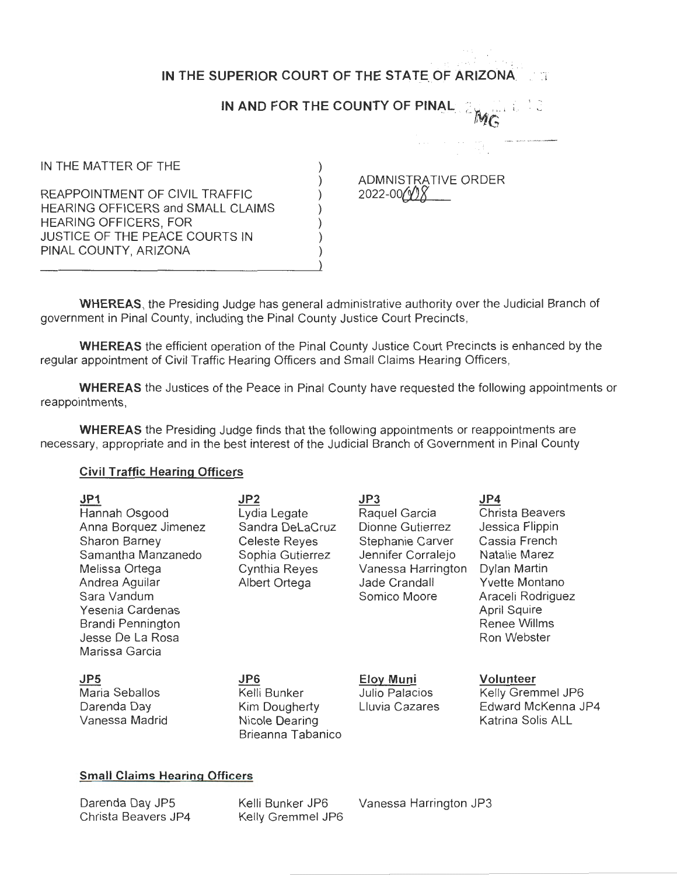|                                                                                                                                                                       | IN THE SUPERIOR COURT OF THE STATE OF ARIZONA |
|-----------------------------------------------------------------------------------------------------------------------------------------------------------------------|-----------------------------------------------|
|                                                                                                                                                                       | IN AND FOR THE COUNTY OF PINAL                |
|                                                                                                                                                                       |                                               |
| IN THE MATTER OF THE                                                                                                                                                  |                                               |
| REAPPOINTMENT OF CIVIL TRAFFIC<br>HEARING OFFICERS and SMALL CLAIMS<br><b>HEARING OFFICERS, FOR</b><br><b>JUSTICE OF THE PEACE COURTS IN</b><br>PINAL COUNTY, ARIZONA | ADMNISTRATIVE ORDER<br>2022-00                |

**WHEREAS,** the Presiding Judge has general administrative authority over the Judicial Branch of government in Pinal County, including the Pinal County Justice Court Precincts,

**WHEREAS** the efficient operation of the Pinal County Justice Court Precincts is enhanced by the regular appointment of Civil Traffic Hearing Officers and Small Claims Hearing Officers,

**WHEREAS** the Justices of the Peace in Pinal County have requested the following appointments or reappointments,

**WHEREAS** the Presiding Judge finds that the following appointments or reappointments are necessary, appropriate and in the best interest of the Judicial Branch of Government in Pinal County

## **Civil Traffic Hearing Officers**

| JP1<br>Hannah Osgood<br>Anna Borquez Jimenez<br>Sharon Barney<br>Samantha Manzanedo<br>Melissa Ortega<br>Andrea Aguilar<br>Sara Vandum<br>Yesenia Cardenas<br>Brandi Pennington<br>Jesse De La Rosa<br>Marissa Garcia | JP <sub>2</sub><br>Lydia Legate<br>Sandra DeLaCruz<br><b>Celeste Reyes</b><br>Sophia Gutierrez<br>Cynthia Reyes<br>Albert Ortega | JP3<br>Raquel Garcia<br>Dionne Gutierrez<br>Stephanie Carver<br>Jennifer Corralejo<br>Vanessa Harrington<br>Jade Crandall<br>Somico Moore | JP4<br>Christa Beavers<br>Jessica Flippin<br>Cassia French<br>Natalie Marez<br>Dylan Martin<br><b>Yvette Montano</b><br>Araceli Rodriguez<br>April Squire<br>Renee Willms<br>Ron Webster |
|-----------------------------------------------------------------------------------------------------------------------------------------------------------------------------------------------------------------------|----------------------------------------------------------------------------------------------------------------------------------|-------------------------------------------------------------------------------------------------------------------------------------------|------------------------------------------------------------------------------------------------------------------------------------------------------------------------------------------|
| JP5<br>Maria Seballos<br>Darenda Day<br>Vanessa Madrid                                                                                                                                                                | JP6<br>Kelli Bunker<br>Kim Dougherty<br>Nicole Dearing<br>Brieanna Tabanico                                                      | <b>Eloy Muni</b><br>Julio Palacios<br>Lluvia Cazares                                                                                      | Volunteer<br>Kelly Gremmel JP6<br>Edward McKenna JP4<br>Katrina Solis ALL                                                                                                                |

## **Small Claims Hearing Officers**

Darenda Day JPS Christa Beavers JP4 Kelly Gremmel JP6

Kelli Bunker JP6 Vanessa Harrington JP3